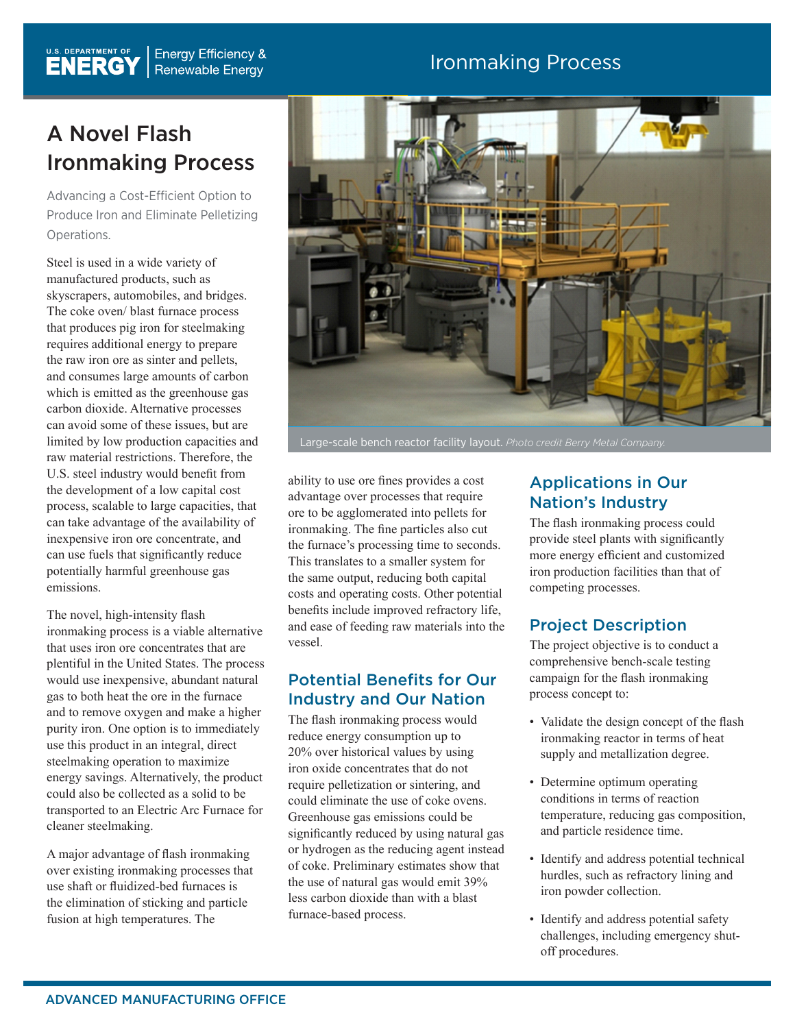## Ironmaking Process

## A Novel Flash Ironmaking Process

Advancing a Cost-Efficient Option to Produce Iron and Eliminate Pelletizing Operations.

Steel is used in a wide variety of manufactured products, such as skyscrapers, automobiles, and bridges. The coke oven/ blast furnace process that produces pig iron for steelmaking requires additional energy to prepare the raw iron ore as sinter and pellets, and consumes large amounts of carbon which is emitted as the greenhouse gas carbon dioxide. Alternative processes can avoid some of these issues, but are limited by low production capacities and raw material restrictions. Therefore, the U.S. steel industry would benefit from the development of a low capital cost process, scalable to large capacities, that can take advantage of the availability of inexpensive iron ore concentrate, and can use fuels that significantly reduce potentially harmful greenhouse gas emissions.

The novel, high-intensity flash ironmaking process is a viable alternative that uses iron ore concentrates that are plentiful in the United States. The process would use inexpensive, abundant natural gas to both heat the ore in the furnace and to remove oxygen and make a higher purity iron. One option is to immediately use this product in an integral, direct steelmaking operation to maximize energy savings. Alternatively, the product could also be collected as a solid to be transported to an Electric Arc Furnace for cleaner steelmaking.

A major advantage of flash ironmaking over existing ironmaking processes that use shaft or fluidized-bed furnaces is the elimination of sticking and particle fusion at high temperatures. The



Large-scale bench reactor facility layout. *Photo credit Berry Metal Company.*

ability to use ore fines provides a cost advantage over processes that require ore to be agglomerated into pellets for ironmaking. The fine particles also cut the furnace's processing time to seconds. This translates to a smaller system for the same output, reducing both capital costs and operating costs. Other potential benefits include improved refractory life, and ease of feeding raw materials into the vessel.

## Potential Benefits for Our Industry and Our Nation

The flash ironmaking process would reduce energy consumption up to 20% over historical values by using iron oxide concentrates that do not require pelletization or sintering, and could eliminate the use of coke ovens. Greenhouse gas emissions could be significantly reduced by using natural gas or hydrogen as the reducing agent instead of coke. Preliminary estimates show that the use of natural gas would emit 39% less carbon dioxide than with a blast furnace-based process.

## Applications in Our Nation's Industry

The flash ironmaking process could provide steel plants with significantly more energy efficient and customized iron production facilities than that of competing processes.

## Project Description

The project objective is to conduct a comprehensive bench-scale testing campaign for the flash ironmaking process concept to:

- Validate the design concept of the flash ironmaking reactor in terms of heat supply and metallization degree.
- Determine optimum operating conditions in terms of reaction temperature, reducing gas composition, and particle residence time.
- Identify and address potential technical hurdles, such as refractory lining and iron powder collection.
- Identify and address potential safety challenges, including emergency shutoff procedures.